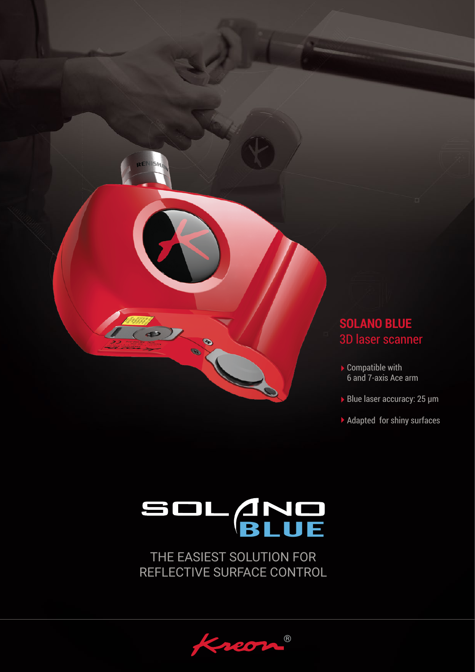

## **SOLANO BLUE** 3D laser scanner

- Compatible with 6 and 7-axis Ace arm
- Blue laser accuracy: 25 µm
- ▶ Adapted for shiny surfaces

# SOL AND

THE EASIEST SOLUTION FOR REFLECTIVE SURFACE CONTROL

®  $207$